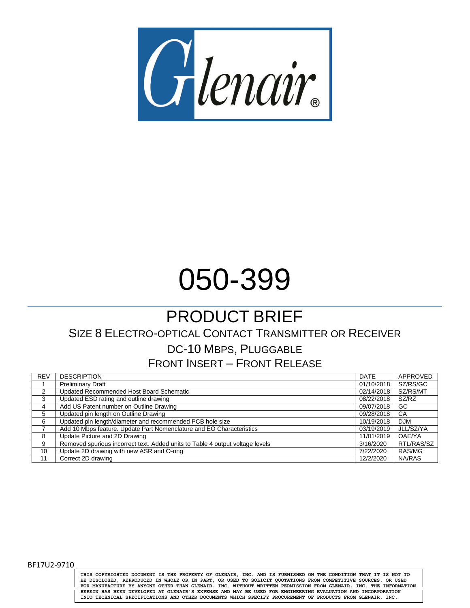

# 050-399

## PRODUCT BRIEF

## SIZE 8 ELECTRO-OPTICAL CONTACT TRANSMITTER OR RECEIVER DC-10 MBPS, PLUGGABLE

FRONT INSERT – FRONT RELEASE

| <b>REV</b>     | <b>DESCRIPTION</b>                                                            | <b>DATE</b> | <b>APPROVED</b> |
|----------------|-------------------------------------------------------------------------------|-------------|-----------------|
|                | <b>Preliminary Draft</b>                                                      | 01/10/2018  | SZ/RS/GC        |
| $\overline{2}$ | Updated Recommended Host Board Schematic                                      | 02/14/2018  | SZ/RS/MT        |
| 3              | Updated ESD rating and outline drawing                                        | 08/22/2018  | SZ/RZ           |
| 4              | Add US Patent number on Outline Drawing                                       | 09/07/2018  | GC              |
| 5              | Updated pin length on Outline Drawing                                         | 09/28/2018  | CA              |
| 6              | Updated pin length/diameter and recommended PCB hole size                     | 10/19/2018  | <b>DJM</b>      |
|                | Add 10 Mbps feature. Update Part Nomenclature and EO Characteristics          | 03/19/2019  | JLL/SZ/YA       |
| 8              | Update Picture and 2D Drawing                                                 | 11/01/2019  | OAE/YA          |
| 9              | Removed spurious incorrect text. Added units to Table 4 output voltage levels | 3/16/2020   | RTL/RAS/SZ      |
| 10             | Update 2D drawing with new ASR and O-ring                                     | 7/22/2020   | RAS/MG          |
| 11             | Correct 2D drawing                                                            | 12/2/2020   | NA/RAS          |

BF17U2-9710

**THIS COPYRIGHTED DOCUMENT IS THE PROPERTY OF GLENAIR, INC. AND IS FURNISHED ON THE CONDITION THAT IT IS NOT TO** BE DISCLOSED, REPRODUCED IN WHOLE OR IN PART, OR USED TO SOLICIT QUOTATIONS FROM COMPETITIVE SOURCES, OR USED<br>FOR MANUFACTURE BY ANYONE OTHER THAN GLENAIR. INC. WITHOUT WRITTEN PERMISSION FROM GLENAIR. INC. THE INFORMATION **HEREIN HAS BEEN DEVELOPED AT GLENAIR'S EXPENSE AND MAY BE USED FOR ENGINEERING EVALUATION AND INCORPORATION INTO TECHNICAL SPECIFICATIONS AND OTHER DOCUMENTS WHICH SPECIFY PROCUREMENT OF PRODUCTS FROM GLENAIR, INC.**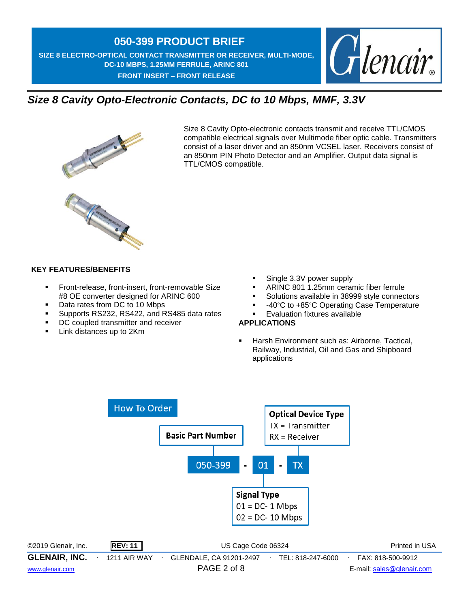**SIZE 8 ELECTRO-OPTICAL CONTACT TRANSMITTER OR RECEIVER, MULTI-MODE, DC-10 MBPS, 1.25MM FERRULE, ARINC 801 FRONT INSERT – FRONT RELEASE** 



## *Size 8 Cavity Opto-Electronic Contacts, DC to 10 Mbps, MMF, 3.3V*



Size 8 Cavity Opto-electronic contacts transmit and receive TTL/CMOS compatible electrical signals over Multimode fiber optic cable. Transmitters consist of a laser driver and an 850nm VCSEL laser. Receivers consist of an 850nm PIN Photo Detector and an Amplifier. Output data signal is TTL/CMOS compatible.



#### **KEY FEATURES/BENEFITS**

- **Front-release, front-insert, front-removable Size** #8 OE converter designed for ARINC 600
- Data rates from DC to 10 Mbps
- **Supports RS232, RS422, and RS485 data rates**
- DC coupled transmitter and receiver
- **Link distances up to 2Km**
- Single 3.3V power supply
- ARINC 801 1.25mm ceramic fiber ferrule
- Solutions available in 38999 style connectors
- 40°C to +85°C Operating Case Temperature
- **Evaluation fixtures available**

#### **APPLICATIONS**

 Harsh Environment such as: Airborne, Tactical, Railway, Industrial, Oil and Gas and Shipboard applications

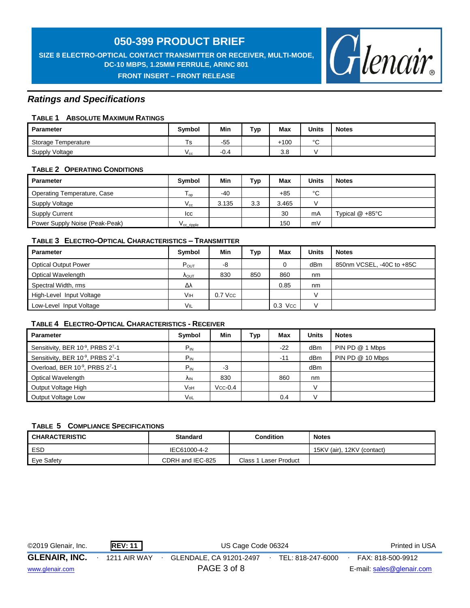**SIZE 8 ELECTRO-OPTICAL CONTACT TRANSMITTER OR RECEIVER, MULTI-MODE, DC-10 MBPS, 1.25MM FERRULE, ARINC 801 FRONT INSERT – FRONT RELEASE** 



#### *Ratings and Specifications*

#### **TABLE 1 ABSOLUTE MAXIMUM RATINGS**

| <b>Parameter</b>    | Symbol         | Min            | Typ | <b>Max</b> | <b>Units</b> | <b>Notes</b> |
|---------------------|----------------|----------------|-----|------------|--------------|--------------|
| Storage Temperature | T <sub>S</sub> | $-55$          |     | $+100$     | $\circ$      |              |
| Supply Voltage      | v cc           | $\sim$<br>-0.4 |     | 3.8        |              |              |

#### **TABLE 2 OPERATING CONDITIONS**

| Parameter                      | Symbol                      | Min   | Typ | Max   | <b>Units</b> | <b>Notes</b>               |
|--------------------------------|-----------------------------|-------|-----|-------|--------------|----------------------------|
| Operating Temperature, Case    | $\overline{\phantom{0}}$ op | -40   |     | $+85$ | $\sim$<br>ັ  |                            |
| Supply Voltage                 | $V_{cc}$                    | 3.135 | 3.3 | 3.465 |              |                            |
| <b>Supply Current</b>          | <b>ICC</b>                  |       |     | 30    | mA           | Typical $@ + 85^{\circ}$ C |
| Power Supply Noise (Peak-Peak) | $\rm V_{cc\_right}$         |       |     | 150   | mV           |                            |

#### **TABLE 3 ELECTRO-OPTICAL CHARACTERISTICS – TRANSMITTER**

| <b>Parameter</b>            | Symbol                 | Min       | Typ | Max       | Units | <b>Notes</b>              |
|-----------------------------|------------------------|-----------|-----|-----------|-------|---------------------------|
| <b>Optical Output Power</b> | $P_{OUT}$              | -8        |     | 0         | dBm   | 850nm VCSEL, -40C to +85C |
| Optical Wavelength          | $\Lambda_{\text{OUT}}$ | 830       | 850 | 860       | nm    |                           |
| Spectral Width, rms         | Δλ                     |           |     | 0.85      | nm    |                           |
| High-Level Input Voltage    | Vıн                    | $0.7$ Vcc |     |           |       |                           |
| Low-Level Input Voltage     | VIL                    |           |     | $0.3$ Vcc |       |                           |

#### **TABLE 4 ELECTRO-OPTICAL CHARACTERISTICS - RECEIVER**

| <b>Parameter</b>                 | Symbol                | Min       | <b>Typ</b> | Max   | <b>Units</b>    | <b>Notes</b>     |
|----------------------------------|-----------------------|-----------|------------|-------|-----------------|------------------|
| Sensitivity, BER 10-9, PRBS 27-1 | $P_{IN}$              |           |            | $-22$ | dBm             | PIN PD @ 1 Mbps  |
| Sensitivity, BER 10-9, PRBS 27-1 | $P_{IN}$              |           |            | $-11$ | dBm             | PIN PD @ 10 Mbps |
| Overload, BER 10-9, PRBS 27-1    | $P_{IN}$              | $-3$      |            |       | dB <sub>m</sub> |                  |
| Optical Wavelength               | <b>A<sub>IN</sub></b> | 830       |            | 860   | nm              |                  |
| Output Voltage High              | VoH                   | $Vcc-0.4$ |            |       |                 |                  |
| Output Voltage Low               | VoL                   |           |            | 0.4   |                 |                  |

#### **TABLE 5 COMPLIANCE SPECIFICATIONS**

| <b>CHARACTERISTIC</b> | <b>Standard</b>  | <b>Condition</b>      | <b>Notes</b>               |
|-----------------------|------------------|-----------------------|----------------------------|
| ESD                   | IEC61000-4-2     |                       | 15KV (air), 12KV (contact) |
| Eve Safety            | CDRH and IEC-825 | Class 1 Laser Product |                            |

| ©2019 Glenair, Inc.  | <b>REV: 11</b> | US Cage Code 06324      |                   | Printed in USA            |
|----------------------|----------------|-------------------------|-------------------|---------------------------|
| <b>GLENAIR, INC.</b> | 1211 AIR WAY   | GLENDALE, CA 91201-2497 | TEL: 818-247-6000 | FAX: 818-500-9912         |
| www.glenair.com      |                | PAGE 3 of 8             |                   | E-mail: sales@glenair.com |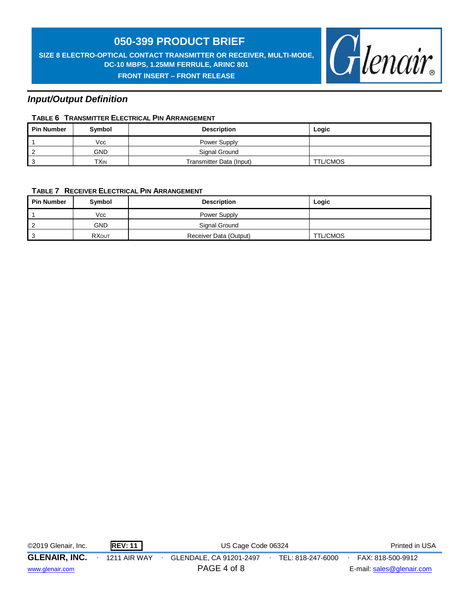**SIZE 8 ELECTRO-OPTICAL CONTACT TRANSMITTER OR RECEIVER, MULTI-MODE, DC-10 MBPS, 1.25MM FERRULE, ARINC 801 FRONT INSERT – FRONT RELEASE** 



#### *Input/Output Definition*

#### **TABLE 6 TRANSMITTER ELECTRICAL PIN ARRANGEMENT**

| <b>Pin Number</b> | Symbol     | <b>Description</b>       | Logic    |
|-------------------|------------|--------------------------|----------|
|                   | Vcc        | Power Supply             |          |
| -2                | <b>GND</b> | Signal Ground            |          |
| ູ                 | TXIN       | Transmitter Data (Input) | TTL/CMOS |

#### **TABLE 7 RECEIVER ELECTRICAL PIN ARRANGEMENT**

| <b>Pin Number</b> | Symbol       | <b>Description</b>     | Logic           |
|-------------------|--------------|------------------------|-----------------|
|                   | Vcc          | Power Supply           |                 |
|                   | <b>GND</b>   | Signal Ground          |                 |
|                   | <b>RXOUT</b> | Receiver Data (Output) | <b>TTL/CMOS</b> |

| ©2019 Glenair, Inc.  | <b>REV: 11</b>      | US Cage Code 06324      |                   | <b>Printed in USA</b>     |
|----------------------|---------------------|-------------------------|-------------------|---------------------------|
| <b>GLENAIR, INC.</b> | <b>1211 AIR WAY</b> | GLENDALE, CA 91201-2497 | TEL: 818-247-6000 | FAX: 818-500-9912         |
| www.glenair.com      |                     | PAGE 4 of 8             |                   | E-mail: sales@glenair.com |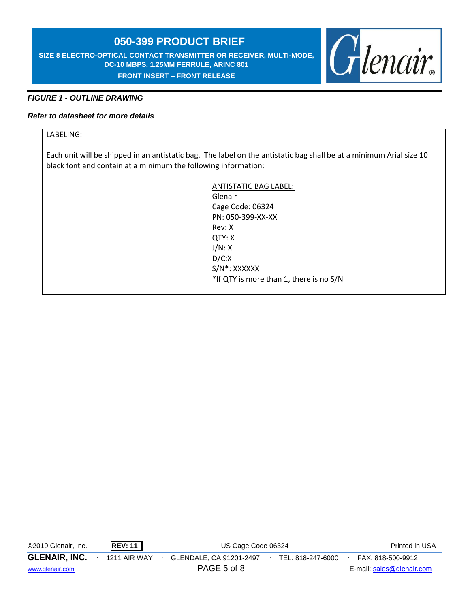**SIZE 8 ELECTRO-OPTICAL CONTACT TRANSMITTER OR RECEIVER, MULTI-MODE, DC-10 MBPS, 1.25MM FERRULE, ARINC 801 FRONT INSERT – FRONT RELEASE** 



#### *FIGURE 1 - OUTLINE DRAWING*

#### *Refer to datasheet for more details*

#### LABELING:

Each unit will be shipped in an antistatic bag. The label on the antistatic bag shall be at a minimum Arial size 10 black font and contain at a minimum the following information:

> ANTISTATIC BAG LABEL: Glenair Cage Code: 06324 PN: 050-399-XX-XX Rev: X QTY: X J/N: X D/C:X S/N\*: XXXXXX \*If QTY is more than 1, there is no S/N

| ©2019 Glenair, Inc.  | <b>REV: 11</b>      | US Cage Code 06324                           | Printed in USA            |
|----------------------|---------------------|----------------------------------------------|---------------------------|
| <b>GLENAIR, INC.</b> | <b>1211 AIR WAY</b> | GLENDALE, CA 91201-2497<br>TEL: 818-247-6000 | FAX: 818-500-9912         |
| www.glenair.com      |                     | PAGE 5 of 8                                  | E-mail: sales@glenair.com |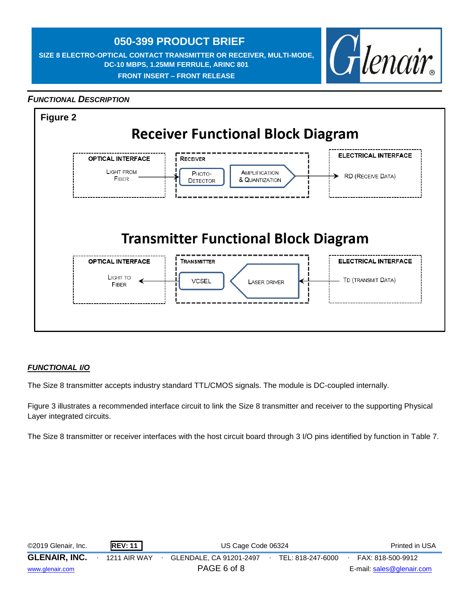**SIZE 8 ELECTRO-OPTICAL CONTACT TRANSMITTER OR RECEIVER, MULTI-MODE, DC-10 MBPS, 1.25MM FERRULE, ARINC 801 FRONT INSERT – FRONT RELEASE** 



#### *FUNCTIONAL DESCRIPTION*



#### *FUNCTIONAL I/O*

The Size 8 transmitter accepts industry standard TTL/CMOS signals. The module is DC-coupled internally.

Figure 3 illustrates a recommended interface circuit to link the Size 8 transmitter and receiver to the supporting Physical Layer integrated circuits.

The Size 8 transmitter or receiver interfaces with the host circuit board through 3 I/O pins identified by function in Table 7.

| ©2019 Glenair, Inc.  | <b>REV: 11</b> | US Cage Code 06324      |                   | Printed in USA            |
|----------------------|----------------|-------------------------|-------------------|---------------------------|
| <b>GLENAIR, INC.</b> | 1211 AIR WAY   | GLENDALE, CA 91201-2497 | TEL: 818-247-6000 | FAX: 818-500-9912         |
| www.glenair.com      |                | PAGE 6 of 8             |                   | E-mail: sales@glenair.com |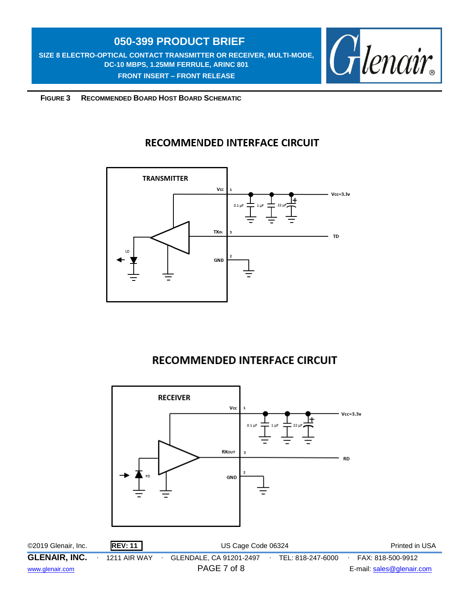**SIZE 8 ELECTRO-OPTICAL CONTACT TRANSMITTER OR RECEIVER, MULTI-MODE, DC-10 MBPS, 1.25MM FERRULE, ARINC 801 FRONT INSERT – FRONT RELEASE** 



 **FIGURE 3 RECOMMENDED BOARD HOST BOARD SCHEMATIC**

### **RECOMMENDED INTERFACE CIRCUIT**



## **RECOMMENDED INTERFACE CIRCUIT**